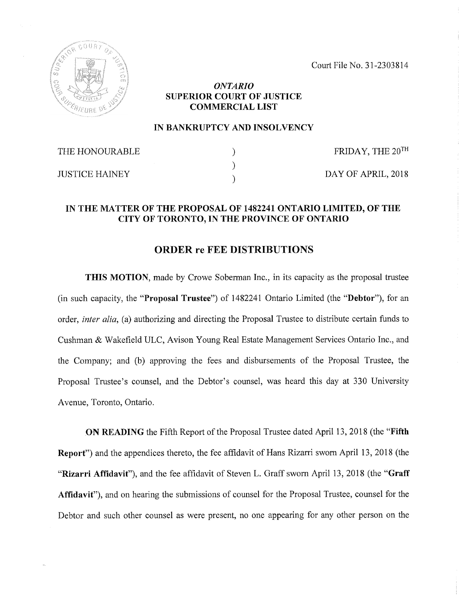Court File No. 31-2303814



## *ONTARIO* **SUPERIOR COURT OF JUSTICE COMMERCIAL LIST**

## **IN BANKRUPTCY AND INSOLVENCY**

| THE HONOURABLE        | FRIDAY, THE 20TH   |
|-----------------------|--------------------|
| <b>JUSTICE HAINEY</b> | DAY OF APRIL, 2018 |

## **IN THE MATTER OF THE PROPOSAL OF 1482241 ONTARIO LIMITED, OF THE CITY OF TORONTO, IN THE PROVINCE OF ONTARIO**

## **ORDER re FEE DISTRIBUTIONS**

**THIS MOTION,** made by Crowe Soberman Inc., in its capacity as the proposal trustee (in such capacity, the **"Proposal Trustee")** of 1482241 Ontario Limited (the **"Debtor"),** for an order, *inter alia*, (a) authorizing and directing the Proposal Trustee to distribute certain funds to Cushman & Wakefield ULC, Avison Young Real Estate Management Services Ontario Inc., and the Company; and (b) approving the fees and disbursements of the Proposal Trustee, the Proposal Trustee's counsel, and the Debtor's counsel, was heard this day at 330 University Avenue, Toronto, Ontario.

**ON READING** the Fifth Report of the Proposal Trustee dated April 13, 2018 (the "Fifth **Report")** and the appendices thereto, the fee affidavit of Hans Rizarri sworn April 13, 2018 (the **"Rizarri Affidavit"),** and the fee affidavit of Steven L. Graff sworn April 13, 2018 (the **"Graff Affidavit"),** and on hearing the submissions of counsel for the Proposal Trustee, counsel for the Debtor and such other counsel as were present, no one appearing for any other person on the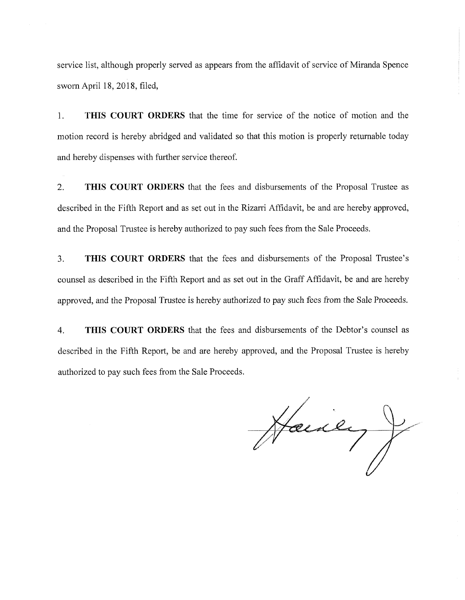service list, although properly served as appears from the affidavit of service of Miranda Spence sworn April 18, 2018, filed,

1. THIS COURT ORDERS that the time for service of the notice of motion and the motion record is hereby abridged and validated so that this motion is properly returnable today and hereby dispenses with further service thereof.

2. THIS COURT ORDERS that the fees and disbursements of the Proposal Trustee as described in the Fifth Report and as set out in the Rizarri Affidavit, be and are hereby approved, and the Proposal Trustee is hereby authorized to pay such fees from the Sale Proceeds.

3. THIS COURT ORDERS that the fees and disbursements of the Proposal Trustee's counsel as described in the Fifth Report and as set out in the Graff Affidavit, be and are hereby approved, and the Proposal Trustee is hereby authorized to pay such fees from the Sale Proceeds.

4. THIS COURT ORDERS that the fees and disbursements of the Debtor's counsel as described in the Fifth Report, be and are hereby approved, and the Proposal Trustee is hereby authorized to pay such fees from the Sale Proceeds.

Haney